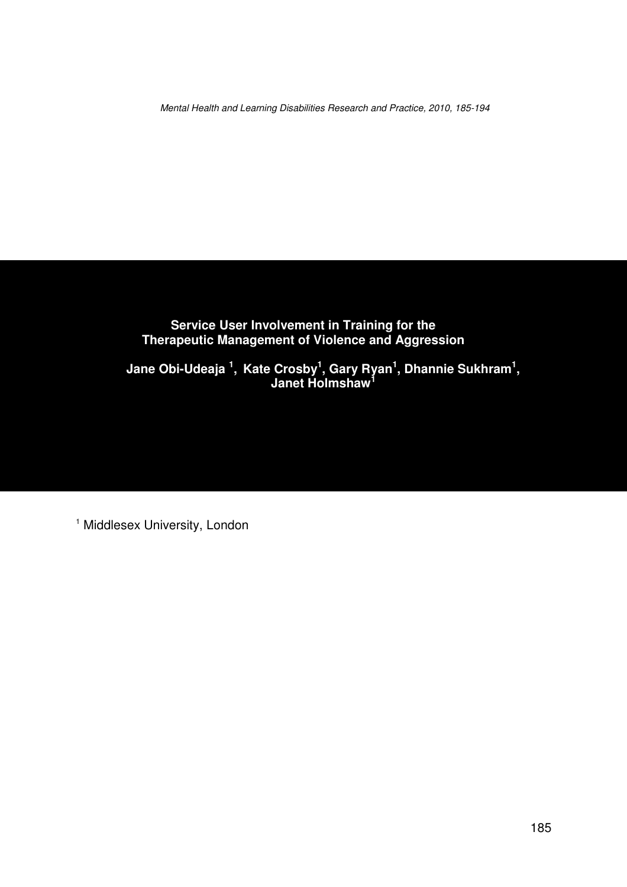Mental Health and Learning Disabilities Research and Practice, 2010, 185-194

### **Service User Involvement in Training for the Therapeutic Management of Violence and Aggression**

**Jane Obi-Udeaja <sup>1</sup> , Kate Crosby<sup>1</sup> , Gary Ryan<sup>1</sup> , Dhannie Sukhram<sup>1</sup> , Janet Holmshaw<sup>1</sup>**

<sup>1</sup> Middlesex University, London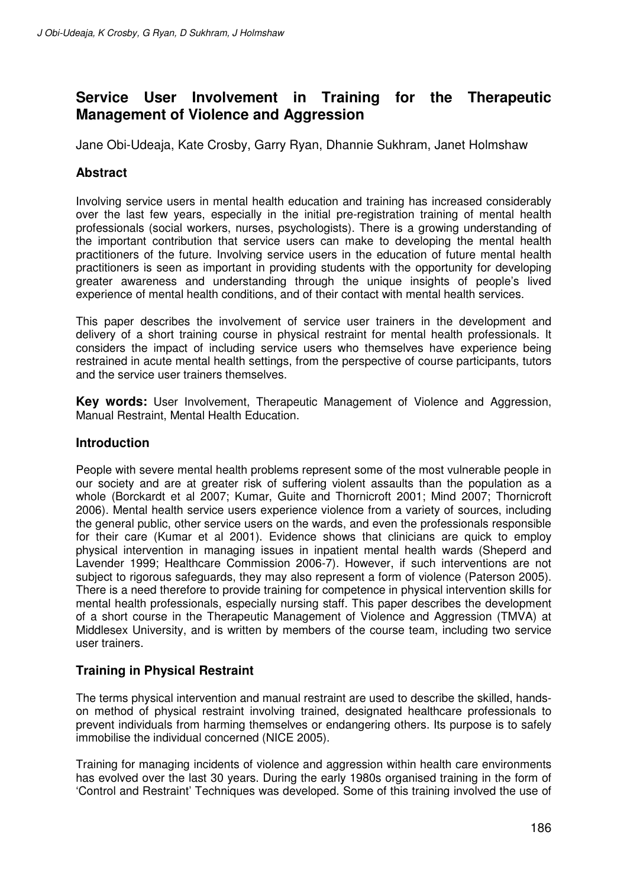# **Service User Involvement in Training for the Therapeutic Management of Violence and Aggression**

Jane Obi-Udeaja, Kate Crosby, Garry Ryan, Dhannie Sukhram, Janet Holmshaw

# **Abstract**

Involving service users in mental health education and training has increased considerably over the last few years, especially in the initial pre-registration training of mental health professionals (social workers, nurses, psychologists). There is a growing understanding of the important contribution that service users can make to developing the mental health practitioners of the future. Involving service users in the education of future mental health practitioners is seen as important in providing students with the opportunity for developing greater awareness and understanding through the unique insights of people's lived experience of mental health conditions, and of their contact with mental health services.

This paper describes the involvement of service user trainers in the development and delivery of a short training course in physical restraint for mental health professionals. It considers the impact of including service users who themselves have experience being restrained in acute mental health settings, from the perspective of course participants, tutors and the service user trainers themselves.

**Key words:** User Involvement, Therapeutic Management of Violence and Aggression, Manual Restraint, Mental Health Education.

## **Introduction**

People with severe mental health problems represent some of the most vulnerable people in our society and are at greater risk of suffering violent assaults than the population as a whole (Borckardt et al 2007; Kumar, Guite and Thornicroft 2001; Mind 2007; Thornicroft 2006). Mental health service users experience violence from a variety of sources, including the general public, other service users on the wards, and even the professionals responsible for their care (Kumar et al 2001). Evidence shows that clinicians are quick to employ physical intervention in managing issues in inpatient mental health wards (Sheperd and Lavender 1999; Healthcare Commission 2006-7). However, if such interventions are not subject to rigorous safeguards, they may also represent a form of violence (Paterson 2005). There is a need therefore to provide training for competence in physical intervention skills for mental health professionals, especially nursing staff. This paper describes the development of a short course in the Therapeutic Management of Violence and Aggression (TMVA) at Middlesex University, and is written by members of the course team, including two service user trainers.

## **Training in Physical Restraint**

The terms physical intervention and manual restraint are used to describe the skilled, handson method of physical restraint involving trained, designated healthcare professionals to prevent individuals from harming themselves or endangering others. Its purpose is to safely immobilise the individual concerned (NICE 2005).

Training for managing incidents of violence and aggression within health care environments has evolved over the last 30 years. During the early 1980s organised training in the form of 'Control and Restraint' Techniques was developed. Some of this training involved the use of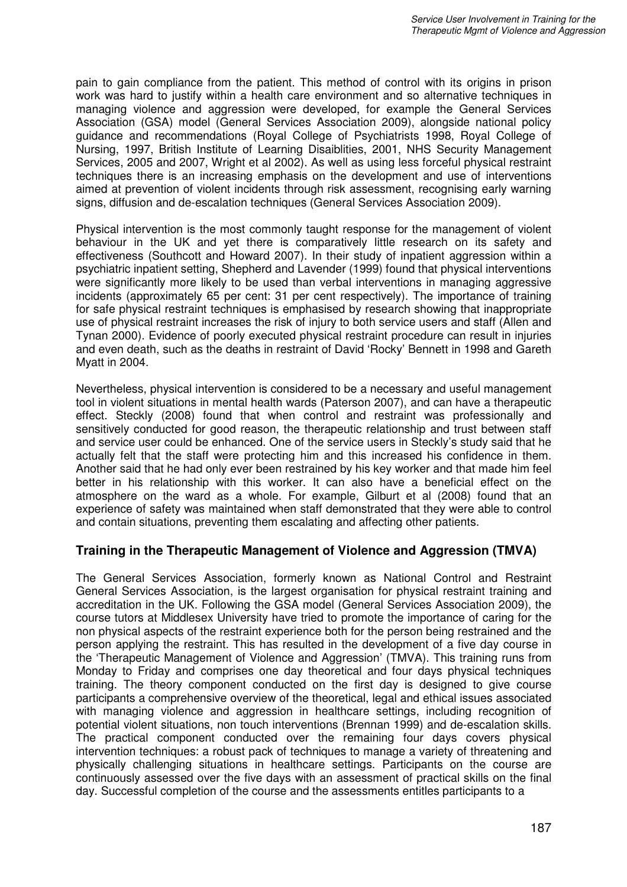pain to gain compliance from the patient. This method of control with its origins in prison work was hard to justify within a health care environment and so alternative techniques in managing violence and aggression were developed, for example the General Services Association (GSA) model (General Services Association 2009), alongside national policy guidance and recommendations (Royal College of Psychiatrists 1998, Royal College of Nursing, 1997, British Institute of Learning Disaiblities, 2001, NHS Security Management Services, 2005 and 2007, Wright et al 2002). As well as using less forceful physical restraint techniques there is an increasing emphasis on the development and use of interventions aimed at prevention of violent incidents through risk assessment, recognising early warning signs, diffusion and de-escalation techniques (General Services Association 2009).

Physical intervention is the most commonly taught response for the management of violent behaviour in the UK and yet there is comparatively little research on its safety and effectiveness (Southcott and Howard 2007). In their study of inpatient aggression within a psychiatric inpatient setting, Shepherd and Lavender (1999) found that physical interventions were significantly more likely to be used than verbal interventions in managing aggressive incidents (approximately 65 per cent: 31 per cent respectively). The importance of training for safe physical restraint techniques is emphasised by research showing that inappropriate use of physical restraint increases the risk of injury to both service users and staff (Allen and Tynan 2000). Evidence of poorly executed physical restraint procedure can result in injuries and even death, such as the deaths in restraint of David 'Rocky' Bennett in 1998 and Gareth Myatt in 2004.

Nevertheless, physical intervention is considered to be a necessary and useful management tool in violent situations in mental health wards (Paterson 2007), and can have a therapeutic effect. Steckly (2008) found that when control and restraint was professionally and sensitively conducted for good reason, the therapeutic relationship and trust between staff and service user could be enhanced. One of the service users in Steckly's study said that he actually felt that the staff were protecting him and this increased his confidence in them. Another said that he had only ever been restrained by his key worker and that made him feel better in his relationship with this worker. It can also have a beneficial effect on the atmosphere on the ward as a whole. For example, Gilburt et al (2008) found that an experience of safety was maintained when staff demonstrated that they were able to control and contain situations, preventing them escalating and affecting other patients.

## **Training in the Therapeutic Management of Violence and Aggression (TMVA)**

The General Services Association, formerly known as National Control and Restraint General Services Association, is the largest organisation for physical restraint training and accreditation in the UK. Following the GSA model (General Services Association 2009), the course tutors at Middlesex University have tried to promote the importance of caring for the non physical aspects of the restraint experience both for the person being restrained and the person applying the restraint. This has resulted in the development of a five day course in the 'Therapeutic Management of Violence and Aggression' (TMVA). This training runs from Monday to Friday and comprises one day theoretical and four days physical techniques training. The theory component conducted on the first day is designed to give course participants a comprehensive overview of the theoretical, legal and ethical issues associated with managing violence and aggression in healthcare settings, including recognition of potential violent situations, non touch interventions (Brennan 1999) and de-escalation skills. The practical component conducted over the remaining four days covers physical intervention techniques: a robust pack of techniques to manage a variety of threatening and physically challenging situations in healthcare settings. Participants on the course are continuously assessed over the five days with an assessment of practical skills on the final day. Successful completion of the course and the assessments entitles participants to a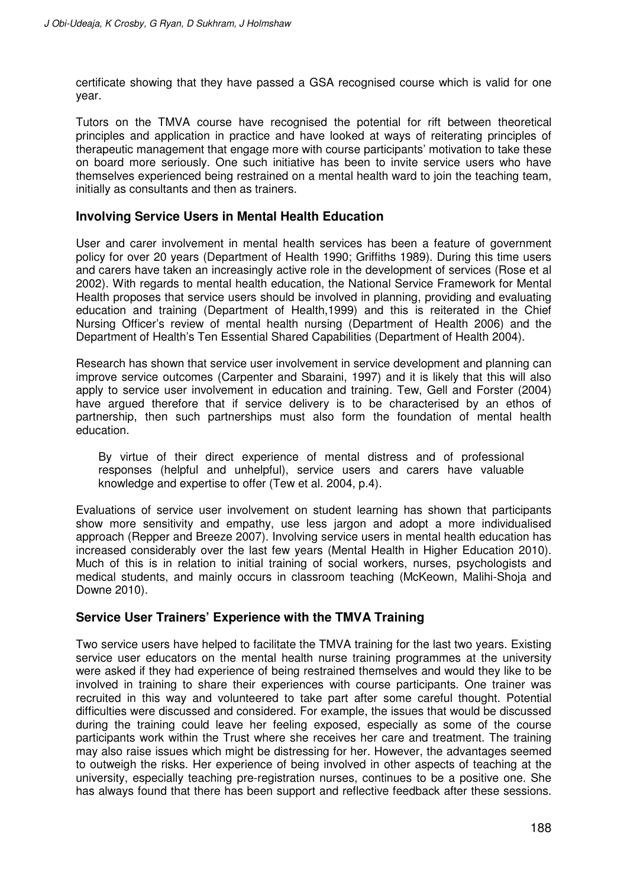certificate showing that they have passed a GSA recognised course which is valid for one year.

Tutors on the TMVA course have recognised the potential for rift between theoretical principles and application in practice and have looked at ways of reiterating principles of therapeutic management that engage more with course participants' motivation to take these on board more seriously. One such initiative has been to invite service users who have themselves experienced being restrained on a mental health ward to join the teaching team, initially as consultants and then as trainers.

#### **Involving Service Users in Mental Health Education**

User and carer involvement in mental health services has been a feature of government policy for over 20 years (Department of Health 1990; Griffiths 1989). During this time users and carers have taken an increasingly active role in the development of services (Rose et al 2002). With regards to mental health education, the National Service Framework for Mental Health proposes that service users should be involved in planning, providing and evaluating education and training (Department of Health,1999) and this is reiterated in the Chief Nursing Officer's review of mental health nursing (Department of Health 2006) and the Department of Health's Ten Essential Shared Capabilities (Department of Health 2004).

Research has shown that service user involvement in service development and planning can improve service outcomes (Carpenter and Sbaraini, 1997) and it is likely that this will also apply to service user involvement in education and training. Tew, Gell and Forster (2004) have argued therefore that if service delivery is to be characterised by an ethos of partnership, then such partnerships must also form the foundation of mental health education.

By virtue of their direct experience of mental distress and of professional responses (helpful and unhelpful), service users and carers have valuable knowledge and expertise to offer (Tew et al. 2004, p.4).

Evaluations of service user involvement on student learning has shown that participants show more sensitivity and empathy, use less jargon and adopt a more individualised approach (Repper and Breeze 2007). Involving service users in mental health education has increased considerably over the last few years (Mental Health in Higher Education 2010). Much of this is in relation to initial training of social workers, nurses, psychologists and medical students, and mainly occurs in classroom teaching (McKeown, Malihi-Shoja and Downe 2010).

## **Service User Trainers' Experience with the TMVA Training**

Two service users have helped to facilitate the TMVA training for the last two years. Existing service user educators on the mental health nurse training programmes at the university were asked if they had experience of being restrained themselves and would they like to be involved in training to share their experiences with course participants. One trainer was recruited in this way and volunteered to take part after some careful thought. Potential difficulties were discussed and considered. For example, the issues that would be discussed during the training could leave her feeling exposed, especially as some of the course participants work within the Trust where she receives her care and treatment. The training may also raise issues which might be distressing for her. However, the advantages seemed to outweigh the risks. Her experience of being involved in other aspects of teaching at the university, especially teaching pre-registration nurses, continues to be a positive one. She has always found that there has been support and reflective feedback after these sessions.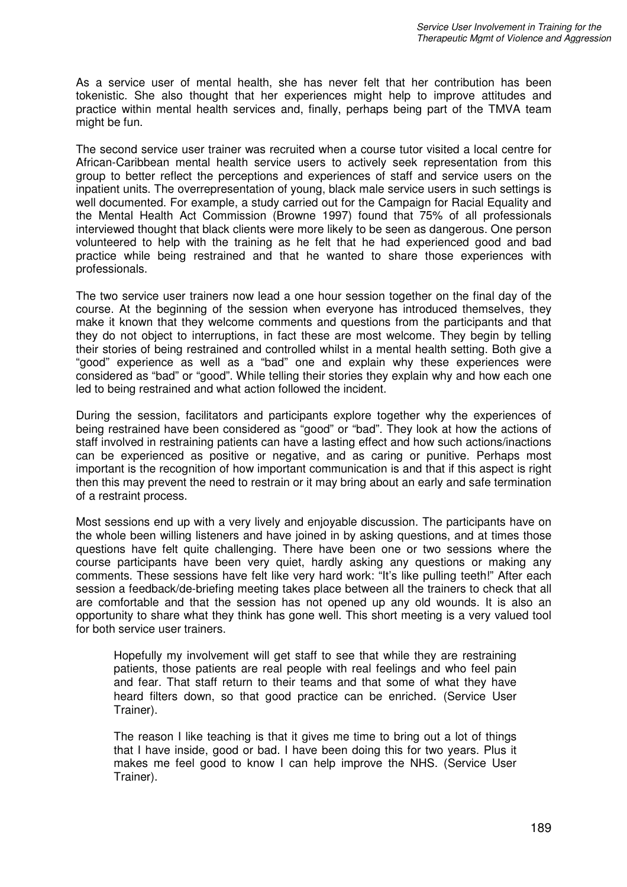As a service user of mental health, she has never felt that her contribution has been tokenistic. She also thought that her experiences might help to improve attitudes and practice within mental health services and, finally, perhaps being part of the TMVA team might be fun.

The second service user trainer was recruited when a course tutor visited a local centre for African-Caribbean mental health service users to actively seek representation from this group to better reflect the perceptions and experiences of staff and service users on the inpatient units. The overrepresentation of young, black male service users in such settings is well documented. For example, a study carried out for the Campaign for Racial Equality and the Mental Health Act Commission (Browne 1997) found that 75% of all professionals interviewed thought that black clients were more likely to be seen as dangerous. One person volunteered to help with the training as he felt that he had experienced good and bad practice while being restrained and that he wanted to share those experiences with professionals.

The two service user trainers now lead a one hour session together on the final day of the course. At the beginning of the session when everyone has introduced themselves, they make it known that they welcome comments and questions from the participants and that they do not object to interruptions, in fact these are most welcome. They begin by telling their stories of being restrained and controlled whilst in a mental health setting. Both give a "good" experience as well as a "bad" one and explain why these experiences were considered as "bad" or "good". While telling their stories they explain why and how each one led to being restrained and what action followed the incident.

During the session, facilitators and participants explore together why the experiences of being restrained have been considered as "good" or "bad". They look at how the actions of staff involved in restraining patients can have a lasting effect and how such actions/inactions can be experienced as positive or negative, and as caring or punitive. Perhaps most important is the recognition of how important communication is and that if this aspect is right then this may prevent the need to restrain or it may bring about an early and safe termination of a restraint process.

Most sessions end up with a very lively and enjoyable discussion. The participants have on the whole been willing listeners and have joined in by asking questions, and at times those questions have felt quite challenging. There have been one or two sessions where the course participants have been very quiet, hardly asking any questions or making any comments. These sessions have felt like very hard work: "It's like pulling teeth!" After each session a feedback/de-briefing meeting takes place between all the trainers to check that all are comfortable and that the session has not opened up any old wounds. It is also an opportunity to share what they think has gone well. This short meeting is a very valued tool for both service user trainers.

Hopefully my involvement will get staff to see that while they are restraining patients, those patients are real people with real feelings and who feel pain and fear. That staff return to their teams and that some of what they have heard filters down, so that good practice can be enriched. (Service User Trainer).

The reason I like teaching is that it gives me time to bring out a lot of things that I have inside, good or bad. I have been doing this for two years. Plus it makes me feel good to know I can help improve the NHS. (Service User Trainer).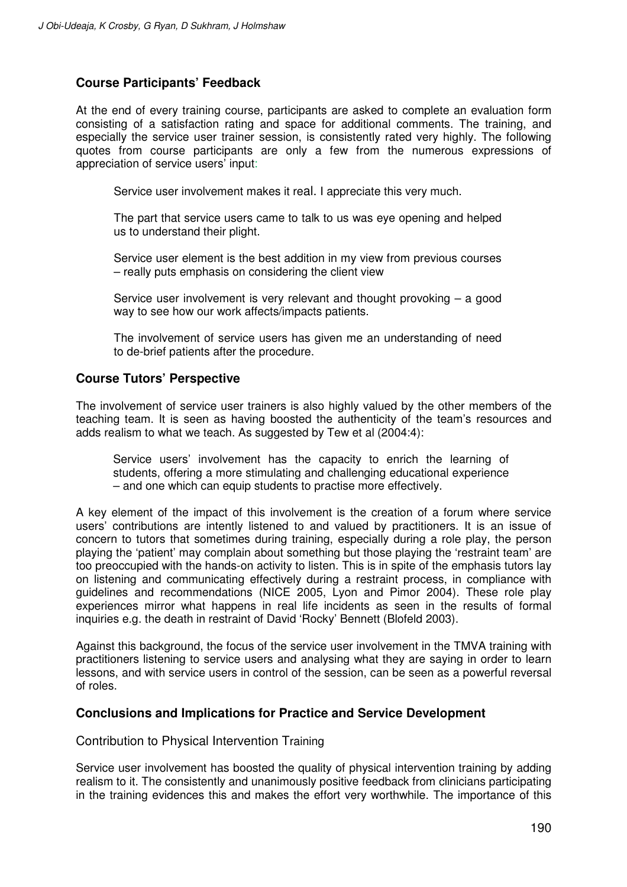## **Course Participants' Feedback**

At the end of every training course, participants are asked to complete an evaluation form consisting of a satisfaction rating and space for additional comments. The training, and especially the service user trainer session, is consistently rated very highly. The following quotes from course participants are only a few from the numerous expressions of appreciation of service users' input:

Service user involvement makes it real. I appreciate this very much.

The part that service users came to talk to us was eye opening and helped us to understand their plight.

Service user element is the best addition in my view from previous courses – really puts emphasis on considering the client view

Service user involvement is very relevant and thought provoking – a good way to see how our work affects/impacts patients.

The involvement of service users has given me an understanding of need to de-brief patients after the procedure.

## **Course Tutors' Perspective**

The involvement of service user trainers is also highly valued by the other members of the teaching team. It is seen as having boosted the authenticity of the team's resources and adds realism to what we teach. As suggested by Tew et al (2004:4):

Service users' involvement has the capacity to enrich the learning of students, offering a more stimulating and challenging educational experience – and one which can equip students to practise more effectively.

A key element of the impact of this involvement is the creation of a forum where service users' contributions are intently listened to and valued by practitioners. It is an issue of concern to tutors that sometimes during training, especially during a role play, the person playing the 'patient' may complain about something but those playing the 'restraint team' are too preoccupied with the hands-on activity to listen. This is in spite of the emphasis tutors lay on listening and communicating effectively during a restraint process, in compliance with guidelines and recommendations (NICE 2005, Lyon and Pimor 2004). These role play experiences mirror what happens in real life incidents as seen in the results of formal inquiries e.g. the death in restraint of David 'Rocky' Bennett (Blofeld 2003).

Against this background, the focus of the service user involvement in the TMVA training with practitioners listening to service users and analysing what they are saying in order to learn lessons, and with service users in control of the session, can be seen as a powerful reversal of roles.

#### **Conclusions and Implications for Practice and Service Development**

Contribution to Physical Intervention Training

Service user involvement has boosted the quality of physical intervention training by adding realism to it. The consistently and unanimously positive feedback from clinicians participating in the training evidences this and makes the effort very worthwhile. The importance of this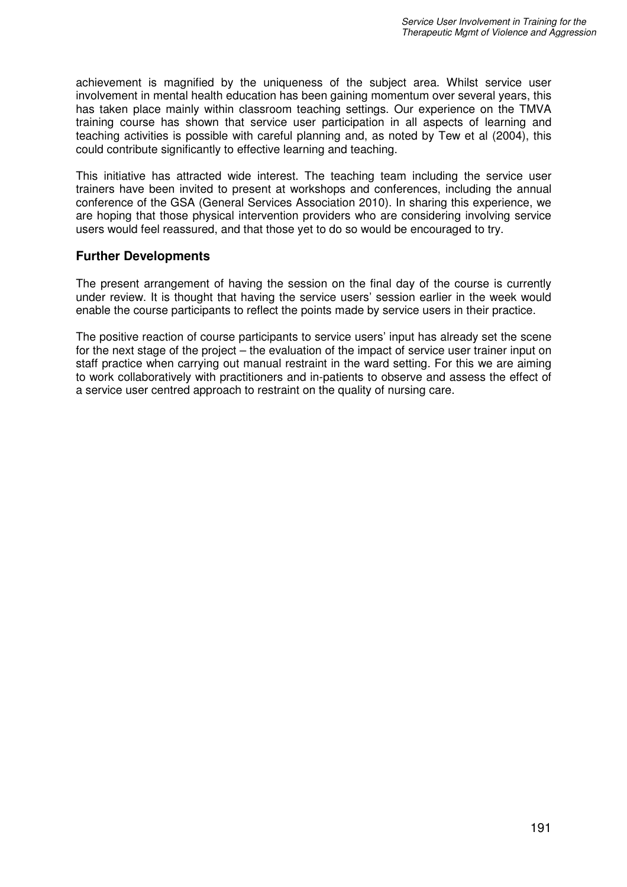achievement is magnified by the uniqueness of the subject area. Whilst service user involvement in mental health education has been gaining momentum over several years, this has taken place mainly within classroom teaching settings. Our experience on the TMVA training course has shown that service user participation in all aspects of learning and teaching activities is possible with careful planning and, as noted by Tew et al (2004), this could contribute significantly to effective learning and teaching.

This initiative has attracted wide interest. The teaching team including the service user trainers have been invited to present at workshops and conferences, including the annual conference of the GSA (General Services Association 2010). In sharing this experience, we are hoping that those physical intervention providers who are considering involving service users would feel reassured, and that those yet to do so would be encouraged to try.

## **Further Developments**

The present arrangement of having the session on the final day of the course is currently under review. It is thought that having the service users' session earlier in the week would enable the course participants to reflect the points made by service users in their practice.

The positive reaction of course participants to service users' input has already set the scene for the next stage of the project – the evaluation of the impact of service user trainer input on staff practice when carrying out manual restraint in the ward setting. For this we are aiming to work collaboratively with practitioners and in-patients to observe and assess the effect of a service user centred approach to restraint on the quality of nursing care.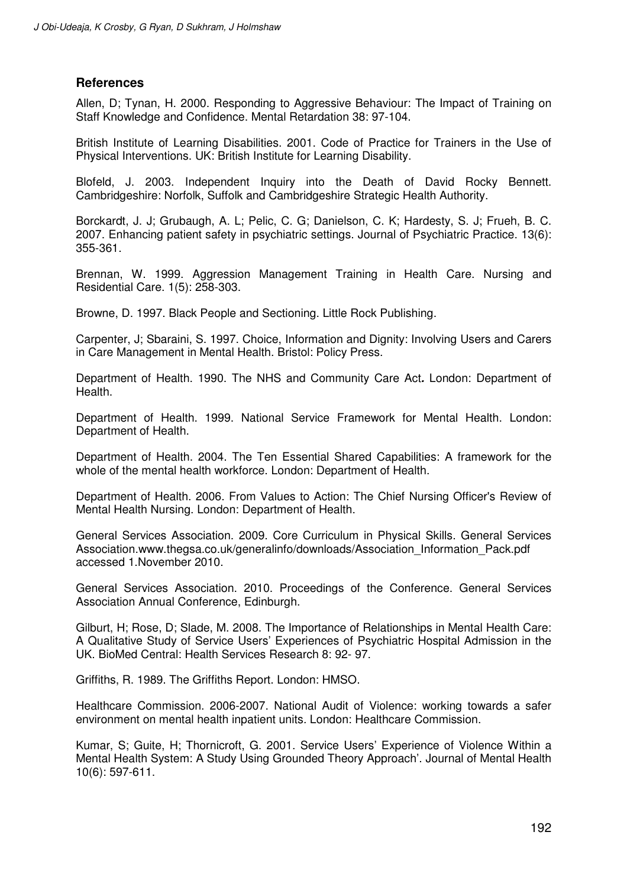#### **References**

Allen, D; Tynan, H. 2000. Responding to Aggressive Behaviour: The Impact of Training on Staff Knowledge and Confidence. Mental Retardation 38: 97-104.

British Institute of Learning Disabilities. 2001. Code of Practice for Trainers in the Use of Physical Interventions. UK: British Institute for Learning Disability.

Blofeld, J. 2003. Independent Inquiry into the Death of David Rocky Bennett. Cambridgeshire: Norfolk, Suffolk and Cambridgeshire Strategic Health Authority.

Borckardt, J. J; Grubaugh, A. L; Pelic, C. G; Danielson, C. K; Hardesty, S. J; Frueh, B. C. 2007. Enhancing patient safety in psychiatric settings. Journal of Psychiatric Practice. 13(6): 355-361.

Brennan, W. 1999. Aggression Management Training in Health Care. Nursing and Residential Care. 1(5): 258-303.

Browne, D. 1997. Black People and Sectioning. Little Rock Publishing.

Carpenter, J; Sbaraini, S. 1997. Choice, Information and Dignity: Involving Users and Carers in Care Management in Mental Health. Bristol: Policy Press.

Department of Health. 1990. The NHS and Community Care Act**.** London: Department of Health.

Department of Health. 1999. National Service Framework for Mental Health. London: Department of Health.

Department of Health. 2004. The Ten Essential Shared Capabilities: A framework for the whole of the mental health workforce. London: Department of Health.

Department of Health. 2006. From Values to Action: The Chief Nursing Officer's Review of Mental Health Nursing. London: Department of Health.

General Services Association. 2009. Core Curriculum in Physical Skills. General Services Association.www.thegsa.co.uk/generalinfo/downloads/Association\_Information\_Pack.pdf accessed 1.November 2010.

General Services Association. 2010. Proceedings of the Conference. General Services Association Annual Conference, Edinburgh.

Gilburt, H; Rose, D; Slade, M. 2008. The Importance of Relationships in Mental Health Care: A Qualitative Study of Service Users' Experiences of Psychiatric Hospital Admission in the UK. BioMed Central: Health Services Research 8: 92- 97.

Griffiths, R. 1989. The Griffiths Report. London: HMSO.

Healthcare Commission. 2006-2007. National Audit of Violence: working towards a safer environment on mental health inpatient units. London: Healthcare Commission.

Kumar, S; Guite, H; Thornicroft, G. 2001. Service Users' Experience of Violence Within a Mental Health System: A Study Using Grounded Theory Approach'. Journal of Mental Health 10(6): 597-611.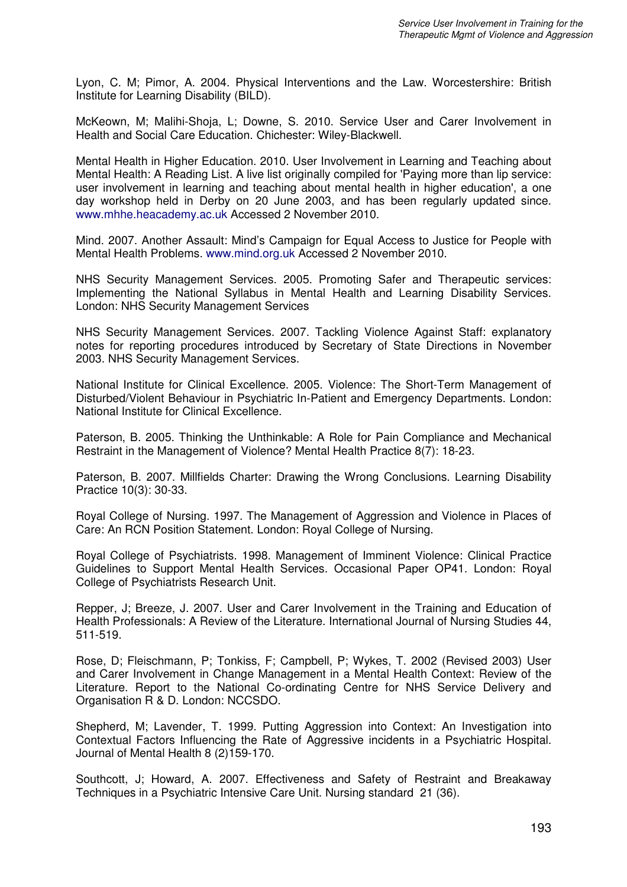Lyon, C. M; Pimor, A. 2004. Physical Interventions and the Law. Worcestershire: British Institute for Learning Disability (BILD).

McKeown, M; Malihi-Shoja, L; Downe, S. 2010. Service User and Carer Involvement in Health and Social Care Education. Chichester: Wiley-Blackwell.

Mental Health in Higher Education. 2010. User Involvement in Learning and Teaching about Mental Health: A Reading List. A live list originally compiled for 'Paying more than lip service: user involvement in learning and teaching about mental health in higher education', a one day workshop held in Derby on 20 June 2003, and has been regularly updated since. www.mhhe.heacademy.ac.uk Accessed 2 November 2010.

Mind. 2007. Another Assault: Mind's Campaign for Equal Access to Justice for People with Mental Health Problems. www.mind.org.uk Accessed 2 November 2010.

NHS Security Management Services. 2005. Promoting Safer and Therapeutic services: Implementing the National Syllabus in Mental Health and Learning Disability Services. London: NHS Security Management Services

NHS Security Management Services. 2007. Tackling Violence Against Staff: explanatory notes for reporting procedures introduced by Secretary of State Directions in November 2003. NHS Security Management Services.

National Institute for Clinical Excellence. 2005. Violence: The Short-Term Management of Disturbed/Violent Behaviour in Psychiatric In-Patient and Emergency Departments. London: National Institute for Clinical Excellence.

Paterson, B. 2005. Thinking the Unthinkable: A Role for Pain Compliance and Mechanical Restraint in the Management of Violence? Mental Health Practice 8(7): 18-23.

Paterson, B. 2007. Millfields Charter: Drawing the Wrong Conclusions. Learning Disability Practice 10(3): 30-33.

Royal College of Nursing. 1997. The Management of Aggression and Violence in Places of Care: An RCN Position Statement. London: Royal College of Nursing.

Royal College of Psychiatrists. 1998. Management of Imminent Violence: Clinical Practice Guidelines to Support Mental Health Services. Occasional Paper OP41. London: Royal College of Psychiatrists Research Unit.

Repper, J; Breeze, J. 2007. User and Carer Involvement in the Training and Education of Health Professionals: A Review of the Literature. International Journal of Nursing Studies 44, 511-519.

Rose, D; Fleischmann, P; Tonkiss, F; Campbell, P; Wykes, T. 2002 (Revised 2003) User and Carer Involvement in Change Management in a Mental Health Context: Review of the Literature. Report to the National Co-ordinating Centre for NHS Service Delivery and Organisation R & D. London: NCCSDO.

Shepherd, M; Lavender, T. 1999. Putting Aggression into Context: An Investigation into Contextual Factors Influencing the Rate of Aggressive incidents in a Psychiatric Hospital. Journal of Mental Health 8 (2)159-170.

Southcott, J; Howard, A. 2007. Effectiveness and Safety of Restraint and Breakaway Techniques in a Psychiatric Intensive Care Unit. Nursing standard 21 (36).